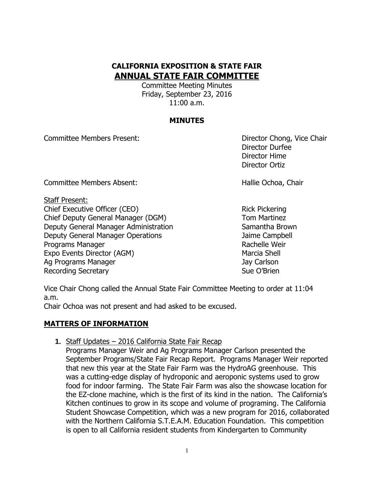# **CALIFORNIA EXPOSITION & STATE FAIR ANNUAL STATE FAIR COMMITTEE**

Committee Meeting Minutes Friday, September 23, 2016 11:00 a.m.

## **MINUTES**

Committee Members Present: Director Chong, Vice Chair

Director Durfee Director Hime Director Ortiz

Committee Members Absent: New York Committee Members Absent: New York Chair

Staff Present:

Chief Executive Officer (CEO) Solution Chief Executive Officer (CEO) Chief Deputy General Manager (DGM) Tom Martinez Deputy General Manager Administration Samantha Brown Deputy General Manager Operations Jaime Campbell Programs Manager **Rachelle Weir** Rachelle Weir Expo Events Director (AGM) Marcia Shell Ag Programs Manager Jay Carlson Jay Carlson Recording Secretary **Sue O'Brien** Sue O'Brien

Vice Chair Chong called the Annual State Fair Committee Meeting to order at 11:04 a.m.

Chair Ochoa was not present and had asked to be excused.

# **MATTERS OF INFORMATION**

**1.** Staff Updates – 2016 California State Fair Recap

Programs Manager Weir and Ag Programs Manager Carlson presented the September Programs/State Fair Recap Report. Programs Manager Weir reported that new this year at the State Fair Farm was the HydroAG greenhouse. This was a cutting-edge display of hydroponic and aeroponic systems used to grow food for indoor farming. The State Fair Farm was also the showcase location for the EZ-clone machine, which is the first of its kind in the nation. The California's Kitchen continues to grow in its scope and volume of programing. The California Student Showcase Competition, which was a new program for 2016, collaborated with the Northern California S.T.E.A.M. Education Foundation. This competition is open to all California resident students from Kindergarten to Community